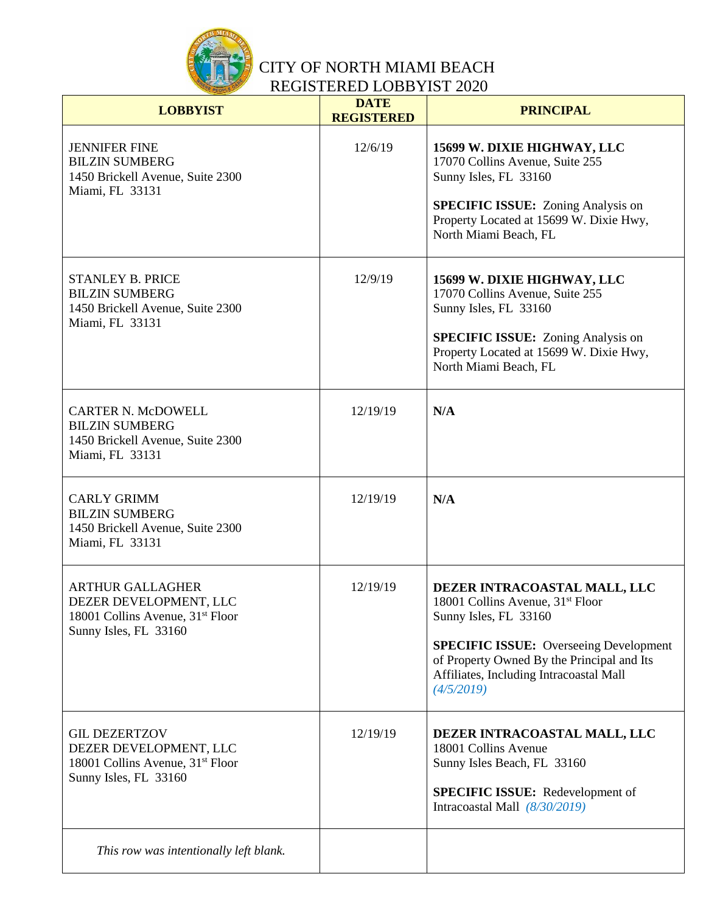

| <b>LOBBYIST</b>                                                                                                            | <b>DATE</b><br><b>REGISTERED</b> | <b>PRINCIPAL</b>                                                                                                                                                                                                                                    |
|----------------------------------------------------------------------------------------------------------------------------|----------------------------------|-----------------------------------------------------------------------------------------------------------------------------------------------------------------------------------------------------------------------------------------------------|
| <b>JENNIFER FINE</b><br><b>BILZIN SUMBERG</b><br>1450 Brickell Avenue, Suite 2300<br>Miami, FL 33131                       | 12/6/19                          | 15699 W. DIXIE HIGHWAY, LLC<br>17070 Collins Avenue, Suite 255<br>Sunny Isles, FL 33160<br><b>SPECIFIC ISSUE:</b> Zoning Analysis on<br>Property Located at 15699 W. Dixie Hwy,<br>North Miami Beach, FL                                            |
| <b>STANLEY B. PRICE</b><br><b>BILZIN SUMBERG</b><br>1450 Brickell Avenue, Suite 2300<br>Miami, FL 33131                    | 12/9/19                          | 15699 W. DIXIE HIGHWAY, LLC<br>17070 Collins Avenue, Suite 255<br>Sunny Isles, FL 33160<br><b>SPECIFIC ISSUE:</b> Zoning Analysis on<br>Property Located at 15699 W. Dixie Hwy,<br>North Miami Beach, FL                                            |
| <b>CARTER N. McDOWELL</b><br><b>BILZIN SUMBERG</b><br>1450 Brickell Avenue, Suite 2300<br>Miami, FL 33131                  | 12/19/19                         | N/A                                                                                                                                                                                                                                                 |
| <b>CARLY GRIMM</b><br><b>BILZIN SUMBERG</b><br>1450 Brickell Avenue, Suite 2300<br>Miami, FL 33131                         | 12/19/19                         | N/A                                                                                                                                                                                                                                                 |
| <b>ARTHUR GALLAGHER</b><br>DEZER DEVELOPMENT, LLC<br>18001 Collins Avenue, 31 <sup>st</sup> Floor<br>Sunny Isles, FL 33160 | 12/19/19                         | DEZER INTRACOASTAL MALL, LLC<br>18001 Collins Avenue, $31st$ Floor<br>Sunny Isles, FL 33160<br><b>SPECIFIC ISSUE:</b> Overseeing Development<br>of Property Owned By the Principal and Its<br>Affiliates, Including Intracoastal Mall<br>(4/5/2019) |
| <b>GIL DEZERTZOV</b><br>DEZER DEVELOPMENT, LLC<br>18001 Collins Avenue, 31 <sup>st</sup> Floor<br>Sunny Isles, FL 33160    | 12/19/19                         | DEZER INTRACOASTAL MALL, LLC<br>18001 Collins Avenue<br>Sunny Isles Beach, FL 33160<br><b>SPECIFIC ISSUE:</b> Redevelopment of<br>Intracoastal Mall $(8/30/2019)$                                                                                   |
| This row was intentionally left blank.                                                                                     |                                  |                                                                                                                                                                                                                                                     |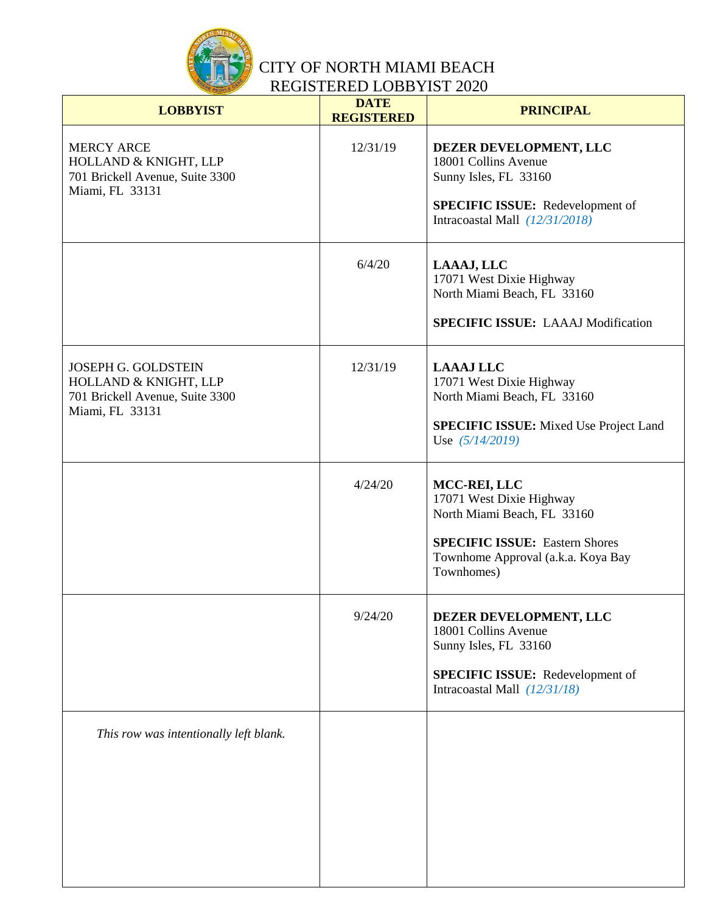

| <b>LOBBYIST</b>                                                                                           | <b>DATE</b><br><b>REGISTERED</b> | <b>PRINCIPAL</b>                                                                                                                                                     |
|-----------------------------------------------------------------------------------------------------------|----------------------------------|----------------------------------------------------------------------------------------------------------------------------------------------------------------------|
| <b>MERCY ARCE</b><br>HOLLAND & KNIGHT, LLP<br>701 Brickell Avenue, Suite 3300<br>Miami, FL 33131          | 12/31/19                         | DEZER DEVELOPMENT, LLC<br>18001 Collins Avenue<br>Sunny Isles, FL 33160<br><b>SPECIFIC ISSUE:</b> Redevelopment of<br>Intracoastal Mall $(12/31/2018)$               |
|                                                                                                           | 6/4/20                           | LAAAJ, LLC<br>17071 West Dixie Highway<br>North Miami Beach, FL 33160<br><b>SPECIFIC ISSUE: LAAAJ Modification</b>                                                   |
| <b>JOSEPH G. GOLDSTEIN</b><br>HOLLAND & KNIGHT, LLP<br>701 Brickell Avenue, Suite 3300<br>Miami, FL 33131 | 12/31/19                         | <b>LAAAJ LLC</b><br>17071 West Dixie Highway<br>North Miami Beach, FL 33160<br><b>SPECIFIC ISSUE:</b> Mixed Use Project Land<br>Use $(5/14/2019)$                    |
|                                                                                                           | 4/24/20                          | MCC-REI, LLC<br>17071 West Dixie Highway<br>North Miami Beach, FL 33160<br><b>SPECIFIC ISSUE: Eastern Shores</b><br>Townhome Approval (a.k.a. Koya Bay<br>Townhomes) |
|                                                                                                           | 9/24/20                          | DEZER DEVELOPMENT, LLC<br>18001 Collins Avenue<br>Sunny Isles, FL 33160<br><b>SPECIFIC ISSUE:</b> Redevelopment of<br>Intracoastal Mall $(12/31/18)$                 |
| This row was intentionally left blank.                                                                    |                                  |                                                                                                                                                                      |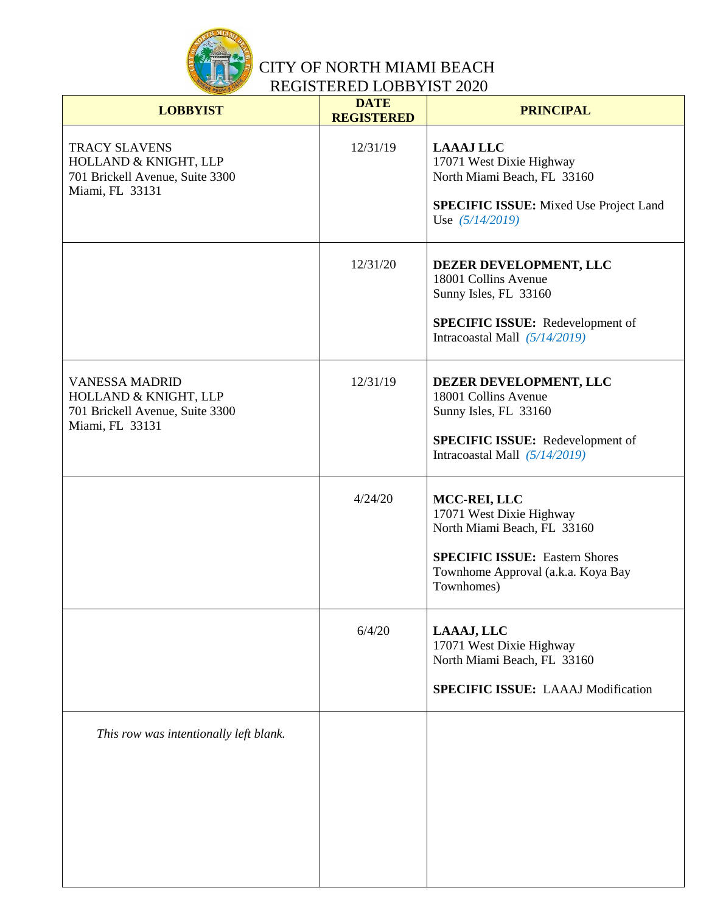

| <b>LOBBYIST</b>                                                                                      | <b>DATE</b><br><b>REGISTERED</b> | <b>PRINCIPAL</b>                                                                                                                                                     |
|------------------------------------------------------------------------------------------------------|----------------------------------|----------------------------------------------------------------------------------------------------------------------------------------------------------------------|
| <b>TRACY SLAVENS</b><br>HOLLAND & KNIGHT, LLP<br>701 Brickell Avenue, Suite 3300<br>Miami, FL 33131  | 12/31/19                         | <b>LAAAJ LLC</b><br>17071 West Dixie Highway<br>North Miami Beach, FL 33160<br><b>SPECIFIC ISSUE:</b> Mixed Use Project Land<br>Use $(5/14/2019)$                    |
|                                                                                                      | 12/31/20                         | DEZER DEVELOPMENT, LLC<br>18001 Collins Avenue<br>Sunny Isles, FL 33160<br><b>SPECIFIC ISSUE:</b> Redevelopment of<br>Intracoastal Mall (5/14/2019)                  |
| <b>VANESSA MADRID</b><br>HOLLAND & KNIGHT, LLP<br>701 Brickell Avenue, Suite 3300<br>Miami, FL 33131 | 12/31/19                         | DEZER DEVELOPMENT, LLC<br>18001 Collins Avenue<br>Sunny Isles, FL 33160<br><b>SPECIFIC ISSUE:</b> Redevelopment of<br>Intracoastal Mall $(5/14/2019)$                |
|                                                                                                      | 4/24/20                          | MCC-REI, LLC<br>17071 West Dixie Highway<br>North Miami Beach, FL 33160<br><b>SPECIFIC ISSUE: Eastern Shores</b><br>Townhome Approval (a.k.a. Koya Bay<br>Townhomes) |
|                                                                                                      | 6/4/20                           | LAAAJ, LLC<br>17071 West Dixie Highway<br>North Miami Beach, FL 33160<br><b>SPECIFIC ISSUE: LAAAJ Modification</b>                                                   |
| This row was intentionally left blank.                                                               |                                  |                                                                                                                                                                      |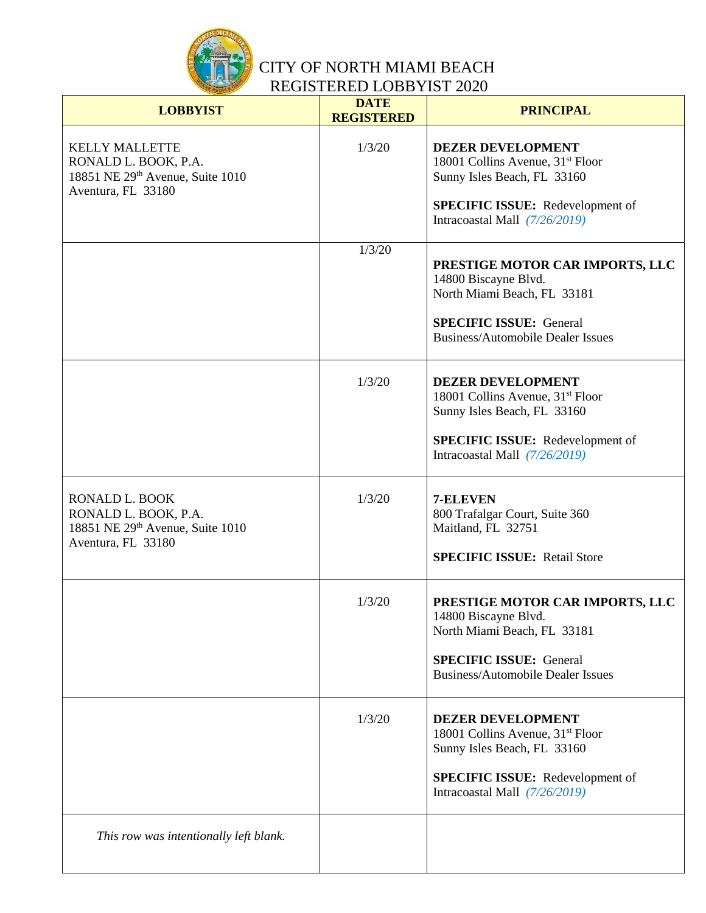

| <b>LOBBYIST</b>                                                                                         | <b>DATE</b><br><b>REGISTERED</b> | <b>PRINCIPAL</b>                                                                                                                                                                      |
|---------------------------------------------------------------------------------------------------------|----------------------------------|---------------------------------------------------------------------------------------------------------------------------------------------------------------------------------------|
| <b>KELLY MALLETTE</b><br>RONALD L. BOOK, P.A.<br>18851 NE 29th Avenue, Suite 1010<br>Aventura, FL 33180 | 1/3/20                           | <b>DEZER DEVELOPMENT</b><br>18001 Collins Avenue, 31 <sup>st</sup> Floor<br>Sunny Isles Beach, FL 33160<br><b>SPECIFIC ISSUE:</b> Redevelopment of<br>Intracoastal Mall (7/26/2019)   |
|                                                                                                         | 1/3/20                           | PRESTIGE MOTOR CAR IMPORTS, LLC<br>14800 Biscayne Blvd.<br>North Miami Beach, FL 33181<br><b>SPECIFIC ISSUE: General</b><br><b>Business/Automobile Dealer Issues</b>                  |
|                                                                                                         | 1/3/20                           | <b>DEZER DEVELOPMENT</b><br>18001 Collins Avenue, 31 <sup>st</sup> Floor<br>Sunny Isles Beach, FL 33160<br><b>SPECIFIC ISSUE:</b> Redevelopment of<br>Intracoastal Mall (7/26/2019)   |
| RONALD L. BOOK<br>RONALD L. BOOK, P.A.<br>18851 NE 29th Avenue, Suite 1010<br>Aventura, FL 33180        | 1/3/20                           | 7-ELEVEN<br>800 Trafalgar Court, Suite 360<br>Maitland, FL 32751<br><b>SPECIFIC ISSUE: Retail Store</b>                                                                               |
|                                                                                                         | 1/3/20                           | PRESTIGE MOTOR CAR IMPORTS, LLC<br>14800 Biscayne Blvd.<br>North Miami Beach, FL 33181<br><b>SPECIFIC ISSUE: General</b><br><b>Business/Automobile Dealer Issues</b>                  |
|                                                                                                         | 1/3/20                           | <b>DEZER DEVELOPMENT</b><br>18001 Collins Avenue, 31 <sup>st</sup> Floor<br>Sunny Isles Beach, FL 33160<br><b>SPECIFIC ISSUE:</b> Redevelopment of<br>Intracoastal Mall $(7/26/2019)$ |
| This row was intentionally left blank.                                                                  |                                  |                                                                                                                                                                                       |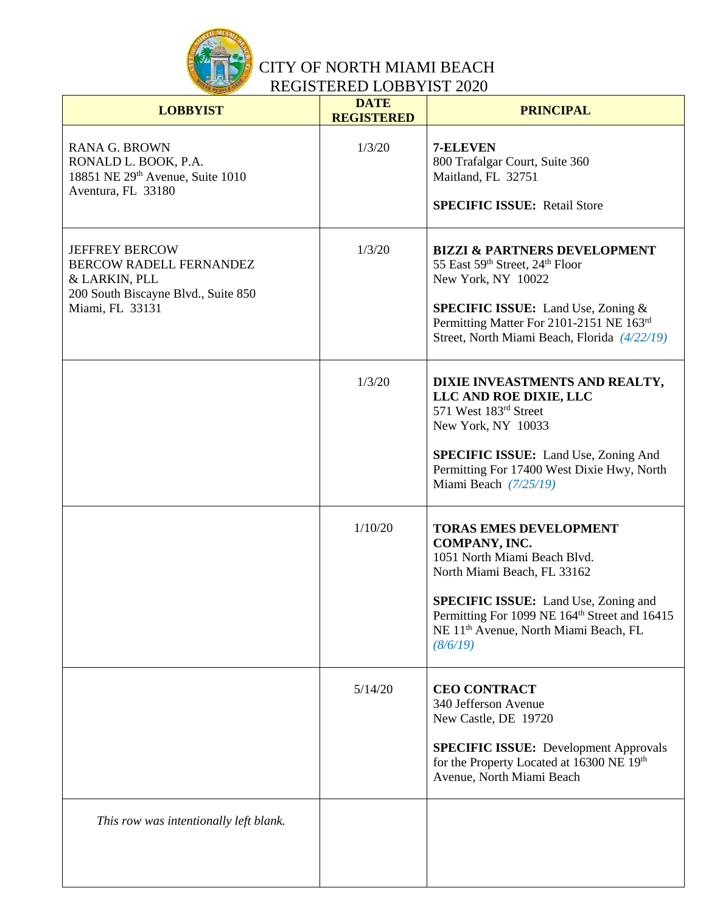

| <b>LOBBYIST</b>                                                                                                                    | <b>DATE</b><br><b>REGISTERED</b> | <b>PRINCIPAL</b>                                                                                                                                                                                                                                                                           |
|------------------------------------------------------------------------------------------------------------------------------------|----------------------------------|--------------------------------------------------------------------------------------------------------------------------------------------------------------------------------------------------------------------------------------------------------------------------------------------|
| <b>RANA G. BROWN</b><br>RONALD L. BOOK, P.A.<br>18851 NE 29th Avenue, Suite 1010<br>Aventura, FL 33180                             | 1/3/20                           | 7-ELEVEN<br>800 Trafalgar Court, Suite 360<br>Maitland, FL 32751<br><b>SPECIFIC ISSUE: Retail Store</b>                                                                                                                                                                                    |
| <b>JEFFREY BERCOW</b><br><b>BERCOW RADELL FERNANDEZ</b><br>& LARKIN, PLL<br>200 South Biscayne Blvd., Suite 850<br>Miami, FL 33131 | 1/3/20                           | <b>BIZZI &amp; PARTNERS DEVELOPMENT</b><br>55 East 59th Street, 24th Floor<br>New York, NY 10022<br><b>SPECIFIC ISSUE:</b> Land Use, Zoning &<br>Permitting Matter For 2101-2151 NE 163rd<br>Street, North Miami Beach, Florida (4/22/19)                                                  |
|                                                                                                                                    | 1/3/20                           | DIXIE INVEASTMENTS AND REALTY,<br>LLC AND ROE DIXIE, LLC<br>571 West 183rd Street<br>New York, NY 10033<br><b>SPECIFIC ISSUE:</b> Land Use, Zoning And<br>Permitting For 17400 West Dixie Hwy, North<br>Miami Beach $(7/25/19)$                                                            |
|                                                                                                                                    | 1/10/20                          | <b>TORAS EMES DEVELOPMENT</b><br>COMPANY, INC.<br>1051 North Miami Beach Blvd.<br>North Miami Beach, FL 33162<br><b>SPECIFIC ISSUE:</b> Land Use, Zoning and<br>Permitting For 1099 NE 164 <sup>th</sup> Street and 16415<br>NE 11 <sup>th</sup> Avenue, North Miami Beach, FL<br>(8/6/19) |
|                                                                                                                                    | 5/14/20                          | <b>CEO CONTRACT</b><br>340 Jefferson Avenue<br>New Castle, DE 19720<br><b>SPECIFIC ISSUE:</b> Development Approvals<br>for the Property Located at 16300 NE 19th<br>Avenue, North Miami Beach                                                                                              |
| This row was intentionally left blank.                                                                                             |                                  |                                                                                                                                                                                                                                                                                            |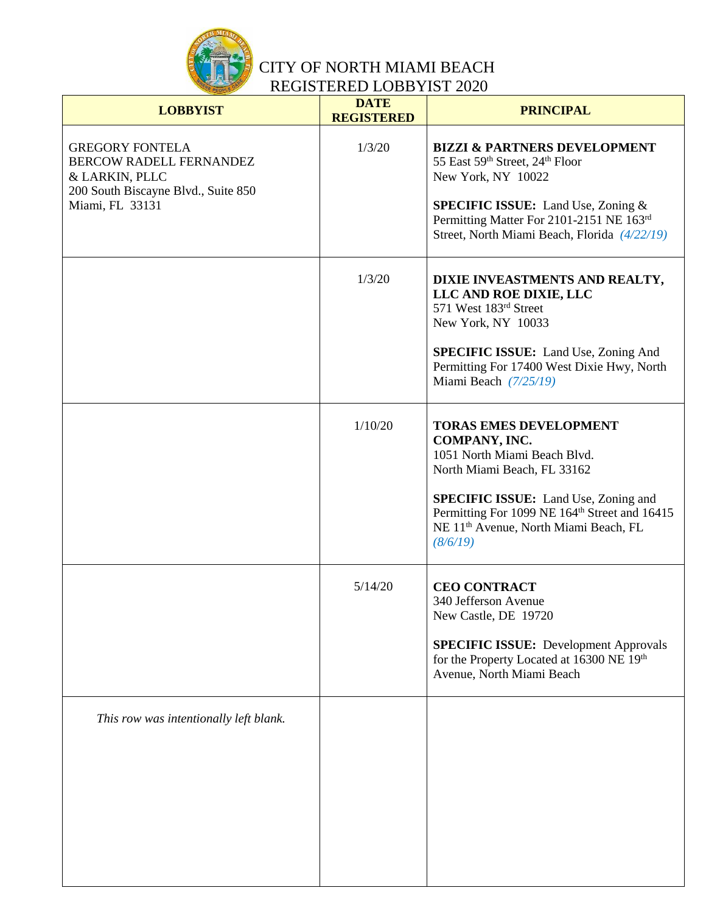

| <b>LOBBYIST</b>                                                                                            | <b>DATE</b><br><b>REGISTERED</b> | <b>PRINCIPAL</b>                                                                                                                                                          |
|------------------------------------------------------------------------------------------------------------|----------------------------------|---------------------------------------------------------------------------------------------------------------------------------------------------------------------------|
| <b>GREGORY FONTELA</b><br>BERCOW RADELL FERNANDEZ<br>& LARKIN, PLLC<br>200 South Biscayne Blvd., Suite 850 | 1/3/20                           | <b>BIZZI &amp; PARTNERS DEVELOPMENT</b><br>55 East 59th Street, 24th Floor<br>New York, NY 10022                                                                          |
| Miami, FL 33131                                                                                            |                                  | <b>SPECIFIC ISSUE:</b> Land Use, Zoning &<br>Permitting Matter For 2101-2151 NE 163rd<br>Street, North Miami Beach, Florida (4/22/19)                                     |
|                                                                                                            | 1/3/20                           | DIXIE INVEASTMENTS AND REALTY,<br>LLC AND ROE DIXIE, LLC<br>571 West 183rd Street<br>New York, NY 10033                                                                   |
|                                                                                                            |                                  | <b>SPECIFIC ISSUE:</b> Land Use, Zoning And<br>Permitting For 17400 West Dixie Hwy, North<br>Miami Beach $(7/25/19)$                                                      |
|                                                                                                            | 1/10/20                          | <b>TORAS EMES DEVELOPMENT</b><br>COMPANY, INC.<br>1051 North Miami Beach Blvd.<br>North Miami Beach, FL 33162                                                             |
|                                                                                                            |                                  | <b>SPECIFIC ISSUE:</b> Land Use, Zoning and<br>Permitting For 1099 NE 164 <sup>th</sup> Street and 16415<br>NE 11 <sup>th</sup> Avenue, North Miami Beach, FL<br>(8/6/19) |
|                                                                                                            | 5/14/20                          | <b>CEO CONTRACT</b><br>340 Jefferson Avenue<br>New Castle, DE 19720                                                                                                       |
|                                                                                                            |                                  | <b>SPECIFIC ISSUE:</b> Development Approvals<br>for the Property Located at 16300 NE 19th<br>Avenue, North Miami Beach                                                    |
| This row was intentionally left blank.                                                                     |                                  |                                                                                                                                                                           |
|                                                                                                            |                                  |                                                                                                                                                                           |
|                                                                                                            |                                  |                                                                                                                                                                           |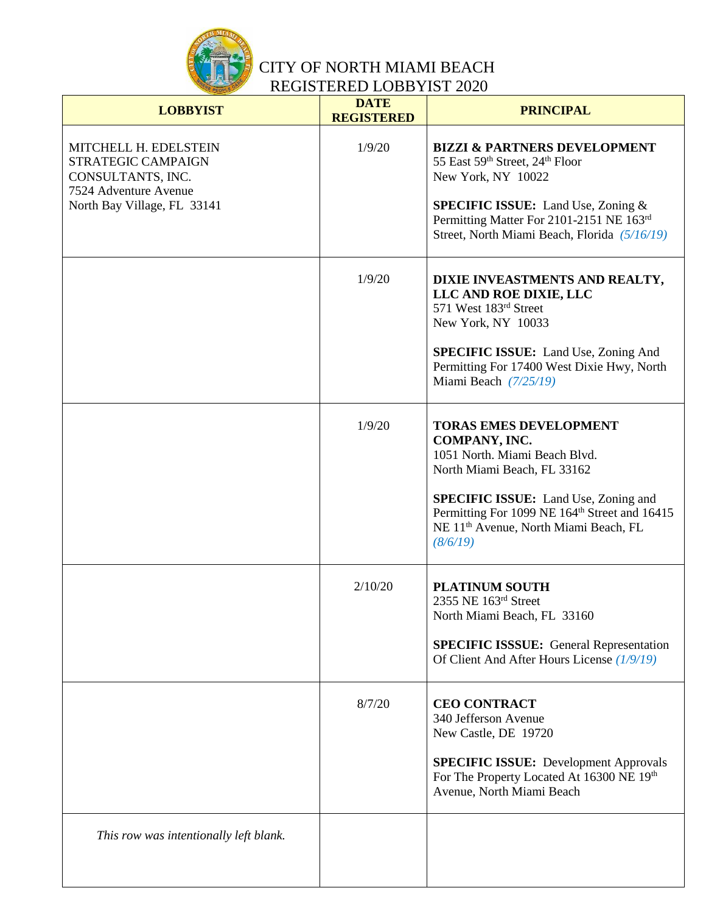

| <b>LOBBYIST</b>                                                                                                          | <b>DATE</b><br><b>REGISTERED</b> | <b>PRINCIPAL</b>                                                                                                                                                          |
|--------------------------------------------------------------------------------------------------------------------------|----------------------------------|---------------------------------------------------------------------------------------------------------------------------------------------------------------------------|
| MITCHELL H. EDELSTEIN<br>STRATEGIC CAMPAIGN<br>CONSULTANTS, INC.<br>7524 Adventure Avenue<br>North Bay Village, FL 33141 | 1/9/20                           | <b>BIZZI &amp; PARTNERS DEVELOPMENT</b><br>55 East 59th Street, 24th Floor<br>New York, NY 10022<br><b>SPECIFIC ISSUE:</b> Land Use, Zoning &                             |
|                                                                                                                          |                                  | Permitting Matter For 2101-2151 NE 163rd<br>Street, North Miami Beach, Florida (5/16/19)                                                                                  |
|                                                                                                                          | 1/9/20                           | DIXIE INVEASTMENTS AND REALTY,<br>LLC AND ROE DIXIE, LLC<br>571 West 183rd Street<br>New York, NY 10033                                                                   |
|                                                                                                                          |                                  | <b>SPECIFIC ISSUE:</b> Land Use, Zoning And<br>Permitting For 17400 West Dixie Hwy, North<br>Miami Beach $(7/25/19)$                                                      |
|                                                                                                                          | 1/9/20                           | <b>TORAS EMES DEVELOPMENT</b><br>COMPANY, INC.<br>1051 North. Miami Beach Blvd.<br>North Miami Beach, FL 33162                                                            |
|                                                                                                                          |                                  | <b>SPECIFIC ISSUE:</b> Land Use, Zoning and<br>Permitting For 1099 NE 164 <sup>th</sup> Street and 16415<br>NE 11 <sup>th</sup> Avenue, North Miami Beach, FL<br>(8/6/19) |
|                                                                                                                          | 2/10/20                          | <b>PLATINUM SOUTH</b><br>2355 NE 163rd Street<br>North Miami Beach, FL 33160                                                                                              |
|                                                                                                                          |                                  | <b>SPECIFIC ISSSUE:</b> General Representation<br>Of Client And After Hours License (1/9/19)                                                                              |
|                                                                                                                          | 8/7/20                           | <b>CEO CONTRACT</b><br>340 Jefferson Avenue<br>New Castle, DE 19720                                                                                                       |
|                                                                                                                          |                                  | <b>SPECIFIC ISSUE:</b> Development Approvals<br>For The Property Located At 16300 NE 19th<br>Avenue, North Miami Beach                                                    |
| This row was intentionally left blank.                                                                                   |                                  |                                                                                                                                                                           |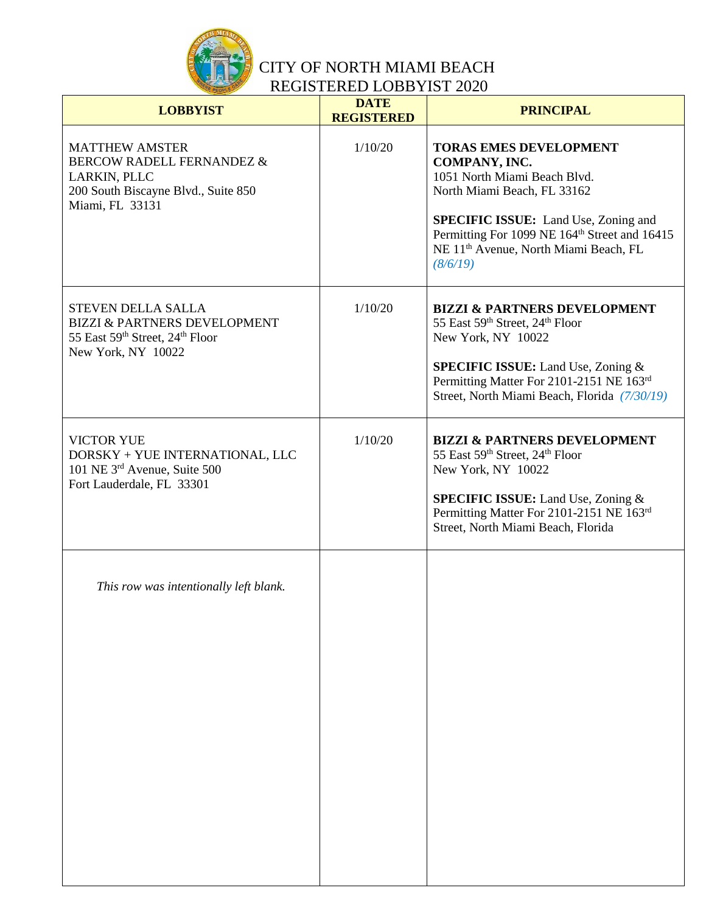

| <b>LOBBYIST</b>                                                                                                                         | <b>DATE</b><br><b>REGISTERED</b> | <b>PRINCIPAL</b>                                                                                                                                                                                                                                                                           |
|-----------------------------------------------------------------------------------------------------------------------------------------|----------------------------------|--------------------------------------------------------------------------------------------------------------------------------------------------------------------------------------------------------------------------------------------------------------------------------------------|
| <b>MATTHEW AMSTER</b><br><b>BERCOW RADELL FERNANDEZ &amp;</b><br>LARKIN, PLLC<br>200 South Biscayne Blvd., Suite 850<br>Miami, FL 33131 | 1/10/20                          | <b>TORAS EMES DEVELOPMENT</b><br>COMPANY, INC.<br>1051 North Miami Beach Blvd.<br>North Miami Beach, FL 33162<br><b>SPECIFIC ISSUE:</b> Land Use, Zoning and<br>Permitting For 1099 NE 164 <sup>th</sup> Street and 16415<br>NE 11 <sup>th</sup> Avenue, North Miami Beach, FL<br>(8/6/19) |
| <b>STEVEN DELLA SALLA</b><br><b>BIZZI &amp; PARTNERS DEVELOPMENT</b><br>55 East 59th Street, 24th Floor<br>New York, NY 10022           | 1/10/20                          | <b>BIZZI &amp; PARTNERS DEVELOPMENT</b><br>55 East 59th Street, 24th Floor<br>New York, NY 10022<br><b>SPECIFIC ISSUE:</b> Land Use, Zoning &<br>Permitting Matter For 2101-2151 NE 163rd<br>Street, North Miami Beach, Florida (7/30/19)                                                  |
| <b>VICTOR YUE</b><br>DORSKY + YUE INTERNATIONAL, LLC<br>101 NE 3rd Avenue, Suite 500<br>Fort Lauderdale, FL 33301                       | 1/10/20                          | <b>BIZZI &amp; PARTNERS DEVELOPMENT</b><br>55 East 59th Street, 24th Floor<br>New York, NY 10022<br><b>SPECIFIC ISSUE:</b> Land Use, Zoning &<br>Permitting Matter For 2101-2151 NE 163rd<br>Street, North Miami Beach, Florida                                                            |
| This row was intentionally left blank.                                                                                                  |                                  |                                                                                                                                                                                                                                                                                            |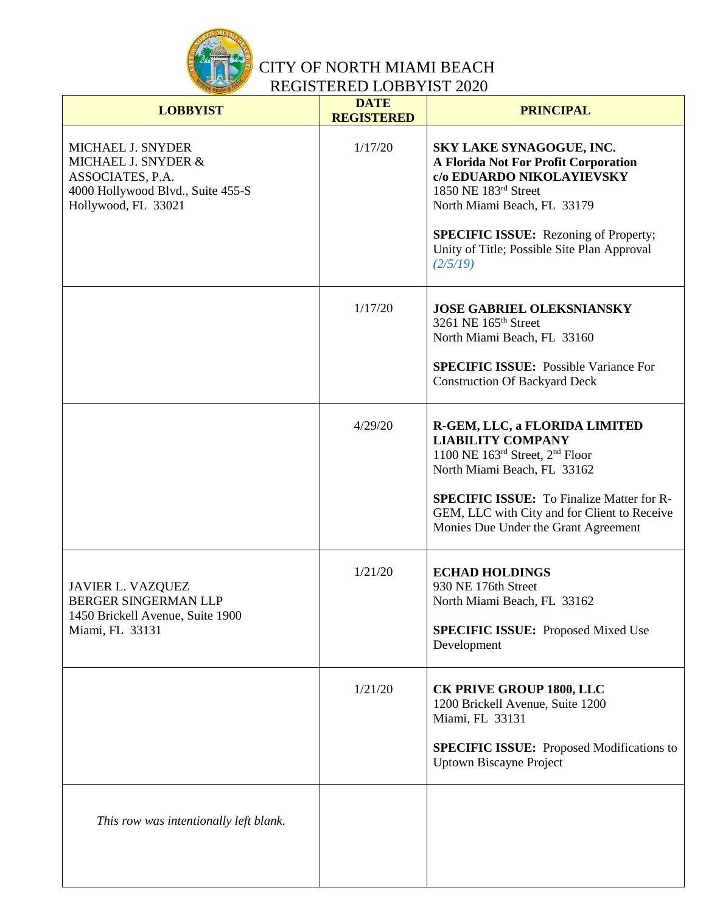

| <b>LOBBYIST</b>                                                                                                          | <b>DATE</b><br><b>REGISTERED</b> | <b>PRINCIPAL</b>                                                                                                                                                                                                                                                        |
|--------------------------------------------------------------------------------------------------------------------------|----------------------------------|-------------------------------------------------------------------------------------------------------------------------------------------------------------------------------------------------------------------------------------------------------------------------|
| MICHAEL J. SNYDER<br>MICHAEL J. SNYDER &<br>ASSOCIATES, P.A.<br>4000 Hollywood Blvd., Suite 455-S<br>Hollywood, FL 33021 | 1/17/20                          | SKY LAKE SYNAGOGUE, INC.<br><b>A Florida Not For Profit Corporation</b><br>c/o EDUARDO NIKOLAYIEVSKY<br>1850 NE 183rd Street<br>North Miami Beach, FL 33179<br><b>SPECIFIC ISSUE:</b> Rezoning of Property;<br>Unity of Title; Possible Site Plan Approval<br>(2/5/19)  |
|                                                                                                                          | 1/17/20                          | <b>JOSE GABRIEL OLEKSNIANSKY</b><br>3261 NE 165 <sup>th</sup> Street<br>North Miami Beach, FL 33160<br><b>SPECIFIC ISSUE:</b> Possible Variance For<br><b>Construction Of Backyard Deck</b>                                                                             |
|                                                                                                                          | 4/29/20                          | R-GEM, LLC, a FLORIDA LIMITED<br><b>LIABILITY COMPANY</b><br>1100 NE 163rd Street, 2nd Floor<br>North Miami Beach, FL 33162<br><b>SPECIFIC ISSUE:</b> To Finalize Matter for R-<br>GEM, LLC with City and for Client to Receive<br>Monies Due Under the Grant Agreement |
| <b>JAVIER L. VAZQUEZ</b><br><b>BERGER SINGERMAN LLP</b><br>1450 Brickell Avenue, Suite 1900<br>Miami, FL 33131           | 1/21/20                          | <b>ECHAD HOLDINGS</b><br>930 NE 176th Street<br>North Miami Beach, FL 33162<br><b>SPECIFIC ISSUE:</b> Proposed Mixed Use<br>Development                                                                                                                                 |
|                                                                                                                          | 1/21/20                          | <b>CK PRIVE GROUP 1800, LLC</b><br>1200 Brickell Avenue, Suite 1200<br>Miami, FL 33131<br><b>SPECIFIC ISSUE:</b> Proposed Modifications to<br><b>Uptown Biscayne Project</b>                                                                                            |
| This row was intentionally left blank.                                                                                   |                                  |                                                                                                                                                                                                                                                                         |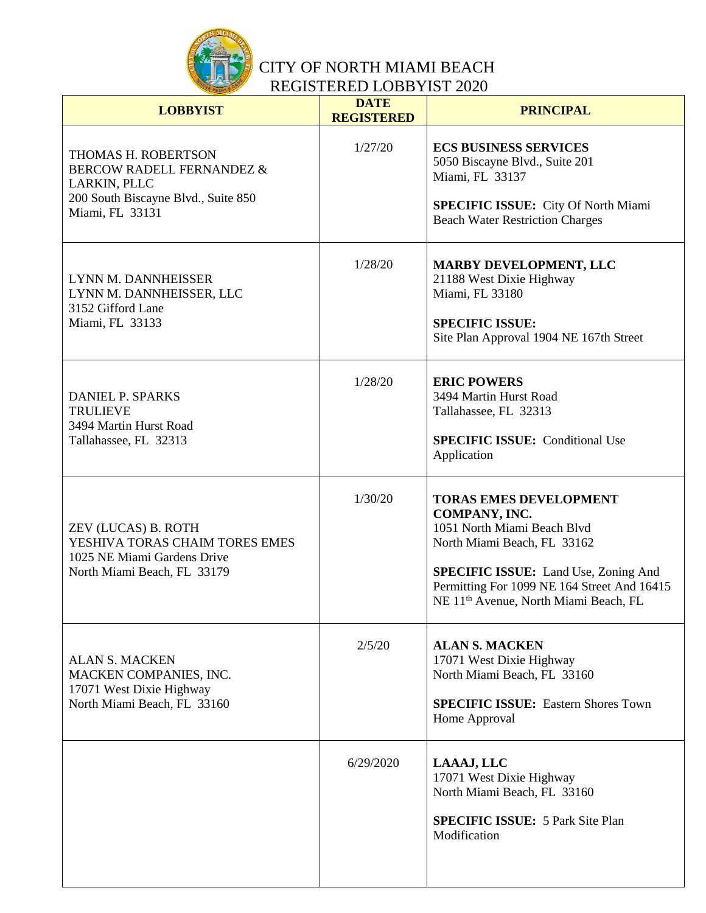

| <b>LOBBYIST</b>                                                                                                                       | <b>DATE</b><br><b>REGISTERED</b> | <b>PRINCIPAL</b>                                                                                                                                                                                                                                                |
|---------------------------------------------------------------------------------------------------------------------------------------|----------------------------------|-----------------------------------------------------------------------------------------------------------------------------------------------------------------------------------------------------------------------------------------------------------------|
| THOMAS H. ROBERTSON<br><b>BERCOW RADELL FERNANDEZ &amp;</b><br>LARKIN, PLLC<br>200 South Biscayne Blvd., Suite 850<br>Miami, FL 33131 | 1/27/20                          | <b>ECS BUSINESS SERVICES</b><br>5050 Biscayne Blvd., Suite 201<br>Miami, FL 33137<br>SPECIFIC ISSUE: City Of North Miami<br><b>Beach Water Restriction Charges</b>                                                                                              |
| LYNN M. DANNHEISSER<br>LYNN M. DANNHEISSER, LLC<br>3152 Gifford Lane<br>Miami, FL 33133                                               | 1/28/20                          | <b>MARBY DEVELOPMENT, LLC</b><br>21188 West Dixie Highway<br>Miami, FL 33180<br><b>SPECIFIC ISSUE:</b><br>Site Plan Approval 1904 NE 167th Street                                                                                                               |
| <b>DANIEL P. SPARKS</b><br><b>TRULIEVE</b><br>3494 Martin Hurst Road<br>Tallahassee, FL 32313                                         | 1/28/20                          | <b>ERIC POWERS</b><br>3494 Martin Hurst Road<br>Tallahassee, FL 32313<br><b>SPECIFIC ISSUE:</b> Conditional Use<br>Application                                                                                                                                  |
| ZEV (LUCAS) B. ROTH<br>YESHIVA TORAS CHAIM TORES EMES<br>1025 NE Miami Gardens Drive<br>North Miami Beach, FL 33179                   | 1/30/20                          | <b>TORAS EMES DEVELOPMENT</b><br>COMPANY, INC.<br>1051 North Miami Beach Blvd<br>North Miami Beach, FL 33162<br><b>SPECIFIC ISSUE:</b> Land Use, Zoning And<br>Permitting For 1099 NE 164 Street And 16415<br>NE 11 <sup>th</sup> Avenue, North Miami Beach, FL |
| <b>ALAN S. MACKEN</b><br>MACKEN COMPANIES, INC.<br>17071 West Dixie Highway<br>North Miami Beach, FL 33160                            | 2/5/20                           | <b>ALAN S. MACKEN</b><br>17071 West Dixie Highway<br>North Miami Beach, FL 33160<br><b>SPECIFIC ISSUE:</b> Eastern Shores Town<br>Home Approval                                                                                                                 |
|                                                                                                                                       | 6/29/2020                        | LAAAJ, LLC<br>17071 West Dixie Highway<br>North Miami Beach, FL 33160<br><b>SPECIFIC ISSUE: 5 Park Site Plan</b><br>Modification                                                                                                                                |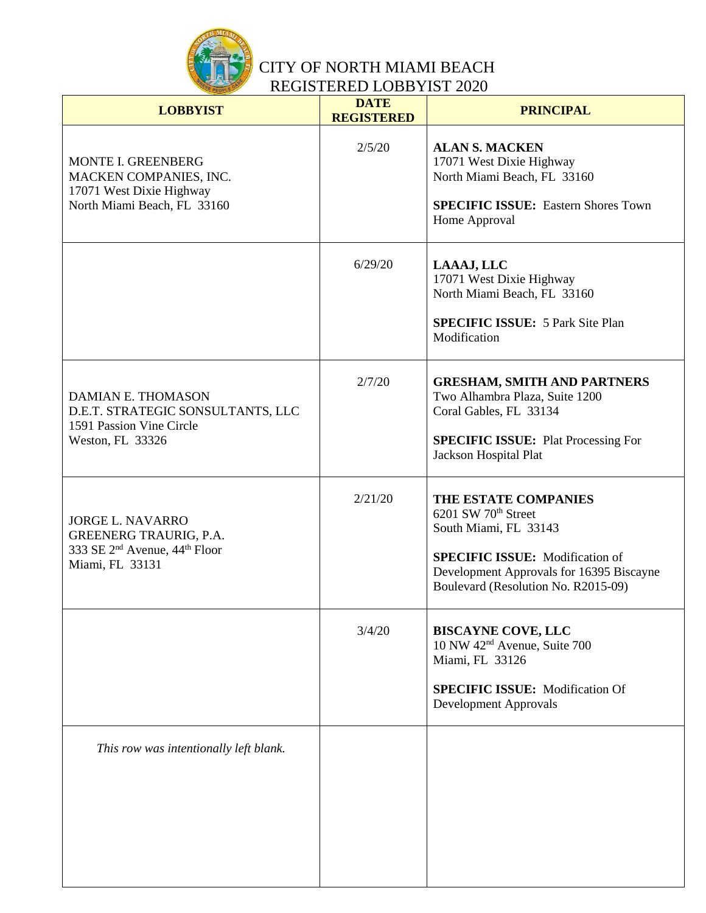

| <b>LOBBYIST</b>                                                                                                               | <b>DATE</b><br><b>REGISTERED</b> | <b>PRINCIPAL</b>                                                                                                                                                                                              |
|-------------------------------------------------------------------------------------------------------------------------------|----------------------------------|---------------------------------------------------------------------------------------------------------------------------------------------------------------------------------------------------------------|
| MONTE I. GREENBERG<br>MACKEN COMPANIES, INC.<br>17071 West Dixie Highway<br>North Miami Beach, FL 33160                       | 2/5/20                           | <b>ALAN S. MACKEN</b><br>17071 West Dixie Highway<br>North Miami Beach, FL 33160<br><b>SPECIFIC ISSUE:</b> Eastern Shores Town<br>Home Approval                                                               |
|                                                                                                                               | 6/29/20                          | LAAAJ, LLC<br>17071 West Dixie Highway<br>North Miami Beach, FL 33160<br><b>SPECIFIC ISSUE: 5 Park Site Plan</b><br>Modification                                                                              |
| DAMIAN E. THOMASON<br>D.E.T. STRATEGIC SONSULTANTS, LLC<br>1591 Passion Vine Circle<br>Weston, FL 33326                       | 2/7/20                           | <b>GRESHAM, SMITH AND PARTNERS</b><br>Two Alhambra Plaza, Suite 1200<br>Coral Gables, FL 33134<br><b>SPECIFIC ISSUE:</b> Plat Processing For<br>Jackson Hospital Plat                                         |
| <b>JORGE L. NAVARRO</b><br>GREENERG TRAURIG, P.A.<br>333 SE 2 <sup>nd</sup> Avenue, 44 <sup>th</sup> Floor<br>Miami, FL 33131 | 2/21/20                          | THE ESTATE COMPANIES<br>6201 SW 70 <sup>th</sup> Street<br>South Miami, FL 33143<br><b>SPECIFIC ISSUE:</b> Modification of<br>Development Approvals for 16395 Biscayne<br>Boulevard (Resolution No. R2015-09) |
|                                                                                                                               | 3/4/20                           | <b>BISCAYNE COVE, LLC</b><br>10 NW 42 <sup>nd</sup> Avenue, Suite 700<br>Miami, FL 33126<br><b>SPECIFIC ISSUE:</b> Modification Of<br><b>Development Approvals</b>                                            |
| This row was intentionally left blank.                                                                                        |                                  |                                                                                                                                                                                                               |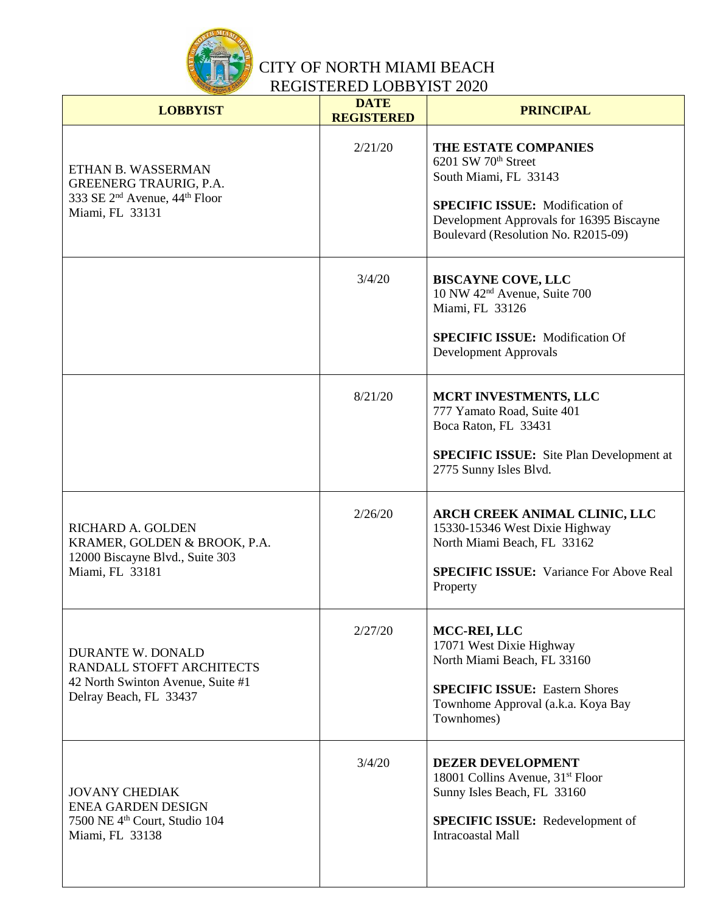

| <b>LOBBYIST</b>                                                                                                                 | <b>DATE</b><br><b>REGISTERED</b> | <b>PRINCIPAL</b>                                                                                                                                                                                              |
|---------------------------------------------------------------------------------------------------------------------------------|----------------------------------|---------------------------------------------------------------------------------------------------------------------------------------------------------------------------------------------------------------|
| ETHAN B. WASSERMAN<br><b>GREENERG TRAURIG, P.A.</b><br>333 SE 2 <sup>nd</sup> Avenue, 44 <sup>th</sup> Floor<br>Miami, FL 33131 | 2/21/20                          | THE ESTATE COMPANIES<br>6201 SW 70 <sup>th</sup> Street<br>South Miami, FL 33143<br><b>SPECIFIC ISSUE:</b> Modification of<br>Development Approvals for 16395 Biscayne<br>Boulevard (Resolution No. R2015-09) |
|                                                                                                                                 | 3/4/20                           | <b>BISCAYNE COVE, LLC</b><br>10 NW 42 <sup>nd</sup> Avenue, Suite 700<br>Miami, FL 33126<br><b>SPECIFIC ISSUE:</b> Modification Of<br><b>Development Approvals</b>                                            |
|                                                                                                                                 | 8/21/20                          | MCRT INVESTMENTS, LLC<br>777 Yamato Road, Suite 401<br>Boca Raton, FL 33431<br><b>SPECIFIC ISSUE:</b> Site Plan Development at<br>2775 Sunny Isles Blvd.                                                      |
| RICHARD A. GOLDEN<br>KRAMER, GOLDEN & BROOK, P.A.<br>12000 Biscayne Blvd., Suite 303<br>Miami, FL 33181                         | 2/26/20                          | ARCH CREEK ANIMAL CLINIC, LLC<br>15330-15346 West Dixie Highway<br>North Miami Beach, FL 33162<br><b>SPECIFIC ISSUE:</b> Variance For Above Real<br>Property                                                  |
| <b>DURANTE W. DONALD</b><br>RANDALL STOFFT ARCHITECTS<br>42 North Swinton Avenue, Suite #1<br>Delray Beach, FL 33437            | 2/27/20                          | MCC-REI, LLC<br>17071 West Dixie Highway<br>North Miami Beach, FL 33160<br><b>SPECIFIC ISSUE: Eastern Shores</b><br>Townhome Approval (a.k.a. Koya Bay<br>Townhomes)                                          |
| <b>JOVANY CHEDIAK</b><br><b>ENEA GARDEN DESIGN</b><br>7500 NE 4 <sup>th</sup> Court, Studio 104<br>Miami, FL 33138              | 3/4/20                           | <b>DEZER DEVELOPMENT</b><br>18001 Collins Avenue, 31 <sup>st</sup> Floor<br>Sunny Isles Beach, FL 33160<br><b>SPECIFIC ISSUE:</b> Redevelopment of<br>Intracoastal Mall                                       |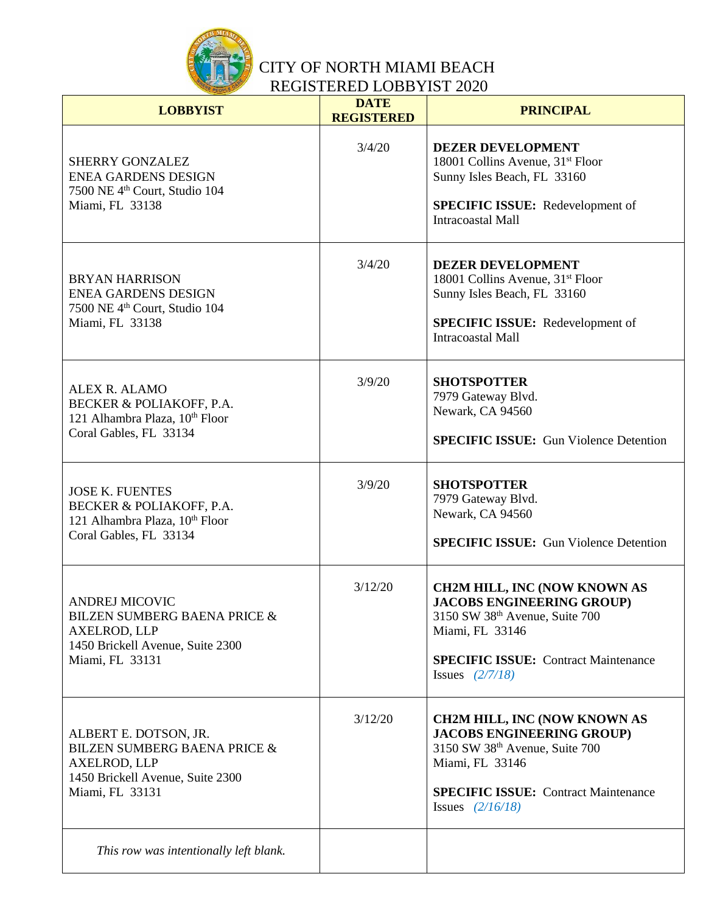

| <b>LOBBYIST</b>                                                                                                                                | <b>DATE</b><br><b>REGISTERED</b> | <b>PRINCIPAL</b>                                                                                                                                                                                                    |
|------------------------------------------------------------------------------------------------------------------------------------------------|----------------------------------|---------------------------------------------------------------------------------------------------------------------------------------------------------------------------------------------------------------------|
| <b>SHERRY GONZALEZ</b><br><b>ENEA GARDENS DESIGN</b><br>7500 NE 4 <sup>th</sup> Court, Studio 104<br>Miami, FL 33138                           | 3/4/20                           | <b>DEZER DEVELOPMENT</b><br>18001 Collins Avenue, 31 <sup>st</sup> Floor<br>Sunny Isles Beach, FL 33160<br><b>SPECIFIC ISSUE:</b> Redevelopment of<br><b>Intracoastal Mall</b>                                      |
| <b>BRYAN HARRISON</b><br><b>ENEA GARDENS DESIGN</b><br>7500 NE 4 <sup>th</sup> Court, Studio 104<br>Miami, FL 33138                            | 3/4/20                           | <b>DEZER DEVELOPMENT</b><br>18001 Collins Avenue, 31 <sup>st</sup> Floor<br>Sunny Isles Beach, FL 33160<br><b>SPECIFIC ISSUE:</b> Redevelopment of<br><b>Intracoastal Mall</b>                                      |
| ALEX R. ALAMO<br>BECKER & POLIAKOFF, P.A.<br>121 Alhambra Plaza, 10th Floor<br>Coral Gables, FL 33134                                          | 3/9/20                           | <b>SHOTSPOTTER</b><br>7979 Gateway Blvd.<br>Newark, CA 94560<br><b>SPECIFIC ISSUE:</b> Gun Violence Detention                                                                                                       |
| <b>JOSE K. FUENTES</b><br>BECKER & POLIAKOFF, P.A.<br>121 Alhambra Plaza, 10 <sup>th</sup> Floor<br>Coral Gables, FL 33134                     | 3/9/20                           | <b>SHOTSPOTTER</b><br>7979 Gateway Blvd.<br>Newark, CA 94560<br><b>SPECIFIC ISSUE:</b> Gun Violence Detention                                                                                                       |
| <b>ANDREJ MICOVIC</b><br>BILZEN SUMBERG BAENA PRICE &<br>AXELROD, LLP<br>1450 Brickell Avenue, Suite 2300<br>Miami, FL 33131                   | 3/12/20                          | <b>CH2M HILL, INC (NOW KNOWN AS</b><br><b>JACOBS ENGINEERING GROUP)</b><br>3150 SW 38 <sup>th</sup> Avenue, Suite 700<br>Miami, FL 33146<br><b>SPECIFIC ISSUE: Contract Maintenance</b><br><b>Issues</b> $(2/7/18)$ |
| ALBERT E. DOTSON, JR.<br><b>BILZEN SUMBERG BAENA PRICE &amp;</b><br><b>AXELROD, LLP</b><br>1450 Brickell Avenue, Suite 2300<br>Miami, FL 33131 | 3/12/20                          | <b>CH2M HILL, INC (NOW KNOWN AS</b><br><b>JACOBS ENGINEERING GROUP)</b><br>3150 SW 38th Avenue, Suite 700<br>Miami, FL 33146<br><b>SPECIFIC ISSUE: Contract Maintenance</b><br><b>Issues</b> $(2/16/18)$            |
| This row was intentionally left blank.                                                                                                         |                                  |                                                                                                                                                                                                                     |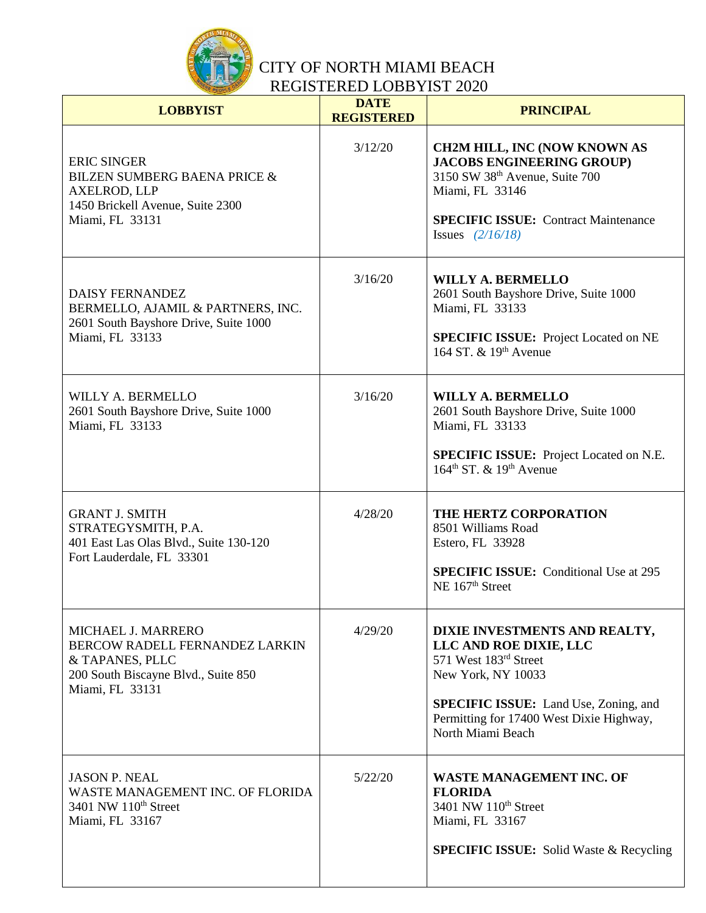

| <b>LOBBYIST</b>                                                                                                                             | <b>DATE</b><br><b>REGISTERED</b> | <b>PRINCIPAL</b>                                                                                                                                                                                                        |
|---------------------------------------------------------------------------------------------------------------------------------------------|----------------------------------|-------------------------------------------------------------------------------------------------------------------------------------------------------------------------------------------------------------------------|
| <b>ERIC SINGER</b><br><b>BILZEN SUMBERG BAENA PRICE &amp;</b><br><b>AXELROD, LLP</b><br>1450 Brickell Avenue, Suite 2300<br>Miami, FL 33131 | 3/12/20                          | <b>CH2M HILL, INC (NOW KNOWN AS</b><br><b>JACOBS ENGINEERING GROUP)</b><br>3150 SW 38th Avenue, Suite 700<br>Miami, FL 33146<br><b>SPECIFIC ISSUE: Contract Maintenance</b><br><b>Issues</b> $(2/16/18)$                |
| <b>DAISY FERNANDEZ</b><br>BERMELLO, AJAMIL & PARTNERS, INC.<br>2601 South Bayshore Drive, Suite 1000<br>Miami, FL 33133                     | 3/16/20                          | <b>WILLY A. BERMELLO</b><br>2601 South Bayshore Drive, Suite 1000<br>Miami, FL 33133<br><b>SPECIFIC ISSUE:</b> Project Located on NE<br>164 ST, & 19th Avenue                                                           |
| WILLY A. BERMELLO<br>2601 South Bayshore Drive, Suite 1000<br>Miami, FL 33133                                                               | 3/16/20                          | <b>WILLY A. BERMELLO</b><br>2601 South Bayshore Drive, Suite 1000<br>Miami, FL 33133<br>SPECIFIC ISSUE: Project Located on N.E.<br>$164^{\text{th}}$ ST, & $19^{\text{th}}$ Avenue                                      |
| <b>GRANT J. SMITH</b><br>STRATEGYSMITH, P.A.<br>401 East Las Olas Blvd., Suite 130-120<br>Fort Lauderdale, FL 33301                         | 4/28/20                          | THE HERTZ CORPORATION<br>8501 Williams Road<br>Estero, FL 33928<br><b>SPECIFIC ISSUE:</b> Conditional Use at 295<br>NE 167 <sup>th</sup> Street                                                                         |
| MICHAEL J. MARRERO<br>BERCOW RADELL FERNANDEZ LARKIN<br>& TAPANES, PLLC<br>200 South Biscayne Blvd., Suite 850<br>Miami, FL 33131           | 4/29/20                          | DIXIE INVESTMENTS AND REALTY,<br>LLC AND ROE DIXIE, LLC<br>571 West 183rd Street<br>New York, NY 10033<br><b>SPECIFIC ISSUE:</b> Land Use, Zoning, and<br>Permitting for 17400 West Dixie Highway,<br>North Miami Beach |
| <b>JASON P. NEAL</b><br>WASTE MANAGEMENT INC. OF FLORIDA<br>3401 NW 110 <sup>th</sup> Street<br>Miami, FL 33167                             | 5/22/20                          | <b>WASTE MANAGEMENT INC. OF</b><br><b>FLORIDA</b><br>3401 NW 110 <sup>th</sup> Street<br>Miami, FL 33167<br><b>SPECIFIC ISSUE:</b> Solid Waste & Recycling                                                              |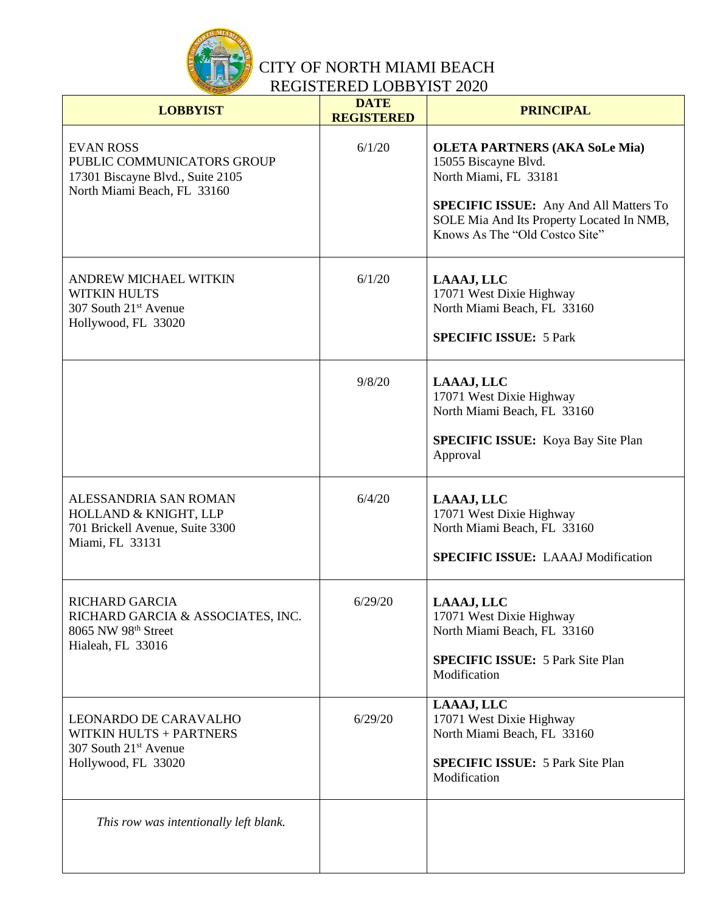

| <b>LOBBYIST</b>                                                                                                   | <b>DATE</b><br><b>REGISTERED</b> | <b>PRINCIPAL</b>                                                                                                             |
|-------------------------------------------------------------------------------------------------------------------|----------------------------------|------------------------------------------------------------------------------------------------------------------------------|
| <b>EVAN ROSS</b><br>PUBLIC COMMUNICATORS GROUP<br>17301 Biscayne Blvd., Suite 2105<br>North Miami Beach, FL 33160 | 6/1/20                           | <b>OLETA PARTNERS (AKA SoLe Mia)</b><br>15055 Biscayne Blvd.<br>North Miami, FL 33181                                        |
|                                                                                                                   |                                  | <b>SPECIFIC ISSUE:</b> Any And All Matters To<br>SOLE Mia And Its Property Located In NMB,<br>Knows As The "Old Costco Site" |
| ANDREW MICHAEL WITKIN<br><b>WITKIN HULTS</b><br>307 South 21 <sup>st</sup> Avenue<br>Hollywood, FL 33020          | 6/1/20                           | LAAAJ, LLC<br>17071 West Dixie Highway<br>North Miami Beach, FL 33160                                                        |
|                                                                                                                   |                                  | <b>SPECIFIC ISSUE: 5 Park</b>                                                                                                |
|                                                                                                                   | 9/8/20                           | LAAAJ, LLC<br>17071 West Dixie Highway<br>North Miami Beach, FL 33160                                                        |
|                                                                                                                   |                                  | <b>SPECIFIC ISSUE:</b> Koya Bay Site Plan<br>Approval                                                                        |
| ALESSANDRIA SAN ROMAN<br>HOLLAND & KNIGHT, LLP<br>701 Brickell Avenue, Suite 3300<br>Miami, FL 33131              | 6/4/20                           | LAAAJ, LLC<br>17071 West Dixie Highway<br>North Miami Beach, FL 33160<br><b>SPECIFIC ISSUE: LAAAJ Modification</b>           |
| RICHARD GARCIA<br>RICHARD GARCIA & ASSOCIATES, INC.<br>8065 NW 98th Street<br>Hialeah, FL 33016                   | 6/29/20                          | LAAAJ, LLC<br>17071 West Dixie Highway<br>North Miami Beach, FL 33160                                                        |
|                                                                                                                   |                                  | <b>SPECIFIC ISSUE: 5 Park Site Plan</b><br>Modification                                                                      |
| <b>LEONARDO DE CARAVALHO</b><br><b>WITKIN HULTS + PARTNERS</b><br>307 South 21 <sup>st</sup> Avenue               | 6/29/20                          | LAAAJ, LLC<br>17071 West Dixie Highway<br>North Miami Beach, FL 33160                                                        |
| Hollywood, FL 33020                                                                                               |                                  | <b>SPECIFIC ISSUE: 5 Park Site Plan</b><br>Modification                                                                      |
| This row was intentionally left blank.                                                                            |                                  |                                                                                                                              |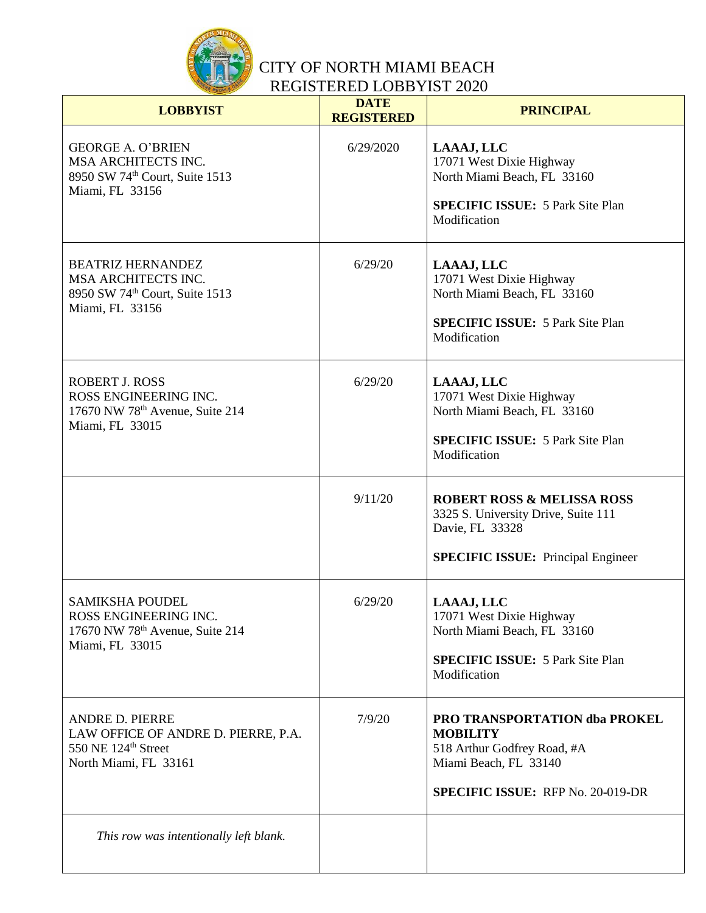

| <b>LOBBYIST</b>                                                                                                           | <b>DATE</b><br><b>REGISTERED</b> | <b>PRINCIPAL</b>                                                                                                                                            |
|---------------------------------------------------------------------------------------------------------------------------|----------------------------------|-------------------------------------------------------------------------------------------------------------------------------------------------------------|
| <b>GEORGE A. O'BRIEN</b><br>MSA ARCHITECTS INC.<br>8950 SW 74th Court, Suite 1513<br>Miami, FL 33156                      | 6/29/2020                        | LAAAJ, LLC<br>17071 West Dixie Highway<br>North Miami Beach, FL 33160<br><b>SPECIFIC ISSUE: 5 Park Site Plan</b><br>Modification                            |
| <b>BEATRIZ HERNANDEZ</b><br>MSA ARCHITECTS INC.<br>8950 SW 74th Court, Suite 1513<br>Miami, FL 33156                      | 6/29/20                          | LAAAJ, LLC<br>17071 West Dixie Highway<br>North Miami Beach, FL 33160<br><b>SPECIFIC ISSUE: 5 Park Site Plan</b><br>Modification                            |
| <b>ROBERT J. ROSS</b><br>ROSS ENGINEERING INC.<br>17670 NW 78 <sup>th</sup> Avenue, Suite 214<br>Miami, FL 33015          | 6/29/20                          | LAAAJ, LLC<br>17071 West Dixie Highway<br>North Miami Beach, FL 33160<br><b>SPECIFIC ISSUE: 5 Park Site Plan</b><br>Modification                            |
|                                                                                                                           | 9/11/20                          | <b>ROBERT ROSS &amp; MELISSA ROSS</b><br>3325 S. University Drive, Suite 111<br>Davie, FL 33328<br><b>SPECIFIC ISSUE:</b> Principal Engineer                |
| <b>SAMIKSHA POUDEL</b><br>ROSS ENGINEERING INC.<br>17670 NW 78 <sup>th</sup> Avenue, Suite 214<br>Miami, FL 33015         | 6/29/20                          | LAAAJ, LLC<br>17071 West Dixie Highway<br>North Miami Beach, FL 33160<br><b>SPECIFIC ISSUE: 5 Park Site Plan</b><br>Modification                            |
| <b>ANDRE D. PIERRE</b><br>LAW OFFICE OF ANDRE D. PIERRE, P.A.<br>550 NE 124 <sup>th</sup> Street<br>North Miami, FL 33161 | 7/9/20                           | <b>PRO TRANSPORTATION dba PROKEL</b><br><b>MOBILITY</b><br>518 Arthur Godfrey Road, #A<br>Miami Beach, FL 33140<br><b>SPECIFIC ISSUE: RFP No. 20-019-DR</b> |
| This row was intentionally left blank.                                                                                    |                                  |                                                                                                                                                             |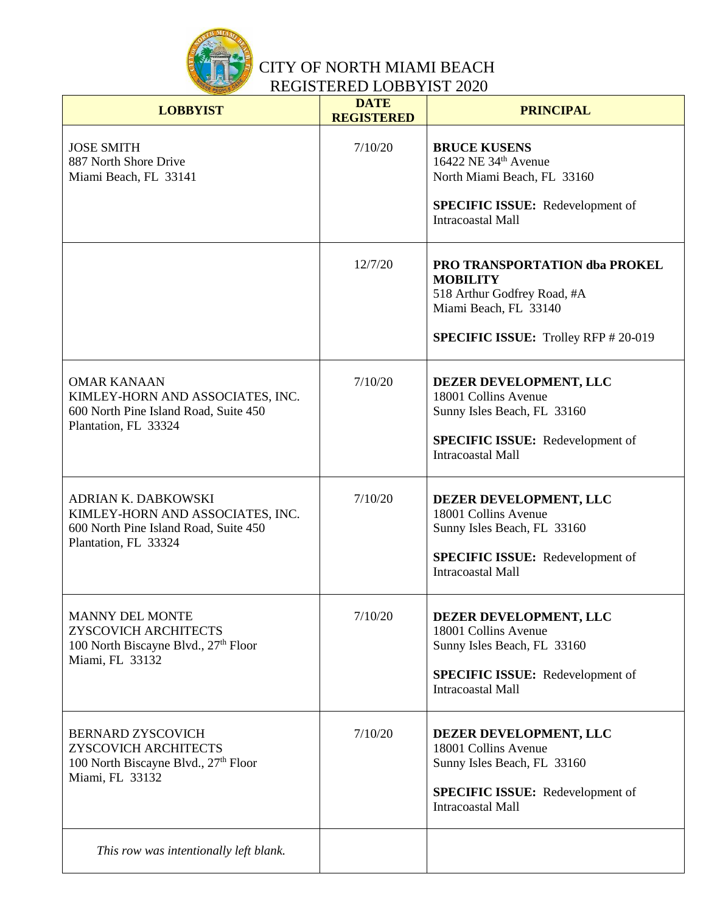

| <b>LOBBYIST</b>                                                                                                          | <b>DATE</b><br><b>REGISTERED</b> | <b>PRINCIPAL</b>                                                                                                                                               |
|--------------------------------------------------------------------------------------------------------------------------|----------------------------------|----------------------------------------------------------------------------------------------------------------------------------------------------------------|
| <b>JOSE SMITH</b><br>887 North Shore Drive<br>Miami Beach, FL 33141                                                      | 7/10/20                          | <b>BRUCE KUSENS</b><br>16422 NE 34th Avenue<br>North Miami Beach, FL 33160<br><b>SPECIFIC ISSUE:</b> Redevelopment of<br><b>Intracoastal Mall</b>              |
|                                                                                                                          | 12/7/20                          | <b>PRO TRANSPORTATION dba PROKEL</b><br><b>MOBILITY</b><br>518 Arthur Godfrey Road, #A<br>Miami Beach, FL 33140<br><b>SPECIFIC ISSUE:</b> Trolley RFP # 20-019 |
| <b>OMAR KANAAN</b><br>KIMLEY-HORN AND ASSOCIATES, INC.<br>600 North Pine Island Road, Suite 450<br>Plantation, FL 33324  | 7/10/20                          | DEZER DEVELOPMENT, LLC<br>18001 Collins Avenue<br>Sunny Isles Beach, FL 33160<br><b>SPECIFIC ISSUE:</b> Redevelopment of<br><b>Intracoastal Mall</b>           |
| ADRIAN K. DABKOWSKI<br>KIMLEY-HORN AND ASSOCIATES, INC.<br>600 North Pine Island Road, Suite 450<br>Plantation, FL 33324 | 7/10/20                          | DEZER DEVELOPMENT, LLC<br>18001 Collins Avenue<br>Sunny Isles Beach, FL 33160<br><b>SPECIFIC ISSUE:</b> Redevelopment of<br><b>Intracoastal Mall</b>           |
| <b>MANNY DEL MONTE</b><br>ZYSCOVICH ARCHITECTS<br>100 North Biscayne Blvd., 27th Floor<br>Miami, FL 33132                | 7/10/20                          | DEZER DEVELOPMENT, LLC<br>18001 Collins Avenue<br>Sunny Isles Beach, FL 33160<br><b>SPECIFIC ISSUE:</b> Redevelopment of<br>Intracoastal Mall                  |
| <b>BERNARD ZYSCOVICH</b><br>ZYSCOVICH ARCHITECTS<br>100 North Biscayne Blvd., 27th Floor<br>Miami, FL 33132              | 7/10/20                          | DEZER DEVELOPMENT, LLC<br>18001 Collins Avenue<br>Sunny Isles Beach, FL 33160<br><b>SPECIFIC ISSUE:</b> Redevelopment of<br><b>Intracoastal Mall</b>           |
| This row was intentionally left blank.                                                                                   |                                  |                                                                                                                                                                |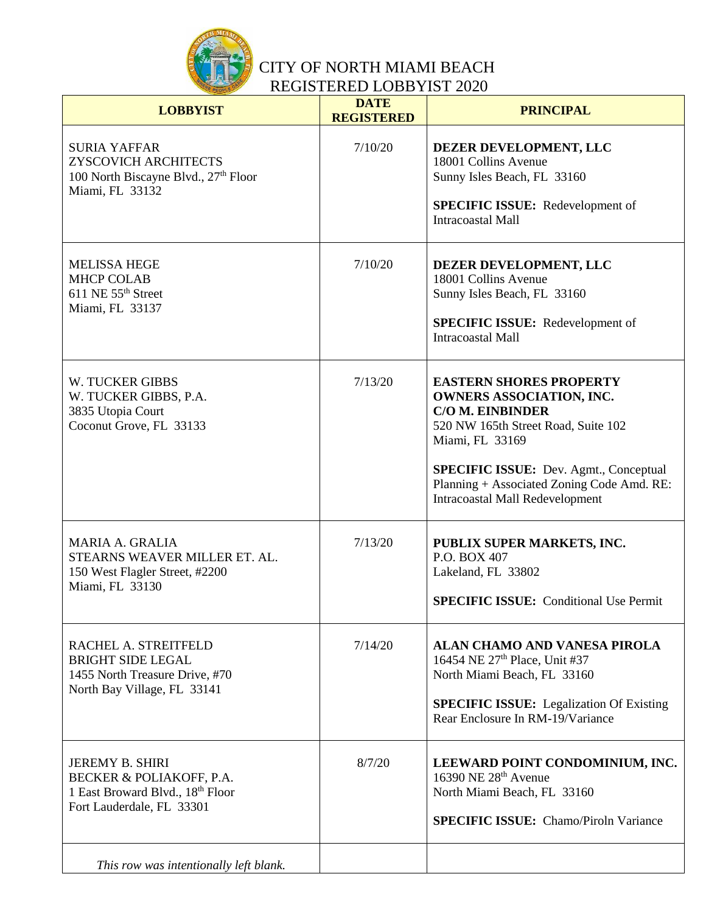

| <b>LOBBYIST</b>                                                                                                     | <b>DATE</b><br><b>REGISTERED</b> | <b>PRINCIPAL</b>                                                                                                                                                                                                                                                                                |
|---------------------------------------------------------------------------------------------------------------------|----------------------------------|-------------------------------------------------------------------------------------------------------------------------------------------------------------------------------------------------------------------------------------------------------------------------------------------------|
| <b>SURIA YAFFAR</b><br>ZYSCOVICH ARCHITECTS<br>100 North Biscayne Blvd., 27th Floor<br>Miami, FL 33132              | 7/10/20                          | DEZER DEVELOPMENT, LLC<br>18001 Collins Avenue<br>Sunny Isles Beach, FL 33160<br><b>SPECIFIC ISSUE:</b> Redevelopment of<br><b>Intracoastal Mall</b>                                                                                                                                            |
| <b>MELISSA HEGE</b><br><b>MHCP COLAB</b><br>611 NE 55 <sup>th</sup> Street<br>Miami, FL 33137                       | 7/10/20                          | DEZER DEVELOPMENT, LLC<br>18001 Collins Avenue<br>Sunny Isles Beach, FL 33160<br><b>SPECIFIC ISSUE:</b> Redevelopment of<br><b>Intracoastal Mall</b>                                                                                                                                            |
| <b>W. TUCKER GIBBS</b><br>W. TUCKER GIBBS, P.A.<br>3835 Utopia Court<br>Coconut Grove, FL 33133                     | 7/13/20                          | <b>EASTERN SHORES PROPERTY</b><br><b>OWNERS ASSOCIATION, INC.</b><br><b>C/O M. EINBINDER</b><br>520 NW 165th Street Road, Suite 102<br>Miami, FL 33169<br><b>SPECIFIC ISSUE:</b> Dev. Agmt., Conceptual<br>Planning + Associated Zoning Code Amd. RE:<br><b>Intracoastal Mall Redevelopment</b> |
| <b>MARIA A. GRALIA</b><br>STEARNS WEAVER MILLER ET. AL.<br>150 West Flagler Street, #2200<br>Miami, FL 33130        | 7/13/20                          | PUBLIX SUPER MARKETS, INC.<br>P.O. BOX 407<br>Lakeland, FL 33802<br><b>SPECIFIC ISSUE:</b> Conditional Use Permit                                                                                                                                                                               |
| RACHEL A. STREITFELD<br><b>BRIGHT SIDE LEGAL</b><br>1455 North Treasure Drive, #70<br>North Bay Village, FL 33141   | 7/14/20                          | ALAN CHAMO AND VANESA PIROLA<br>16454 NE 27 <sup>th</sup> Place, Unit #37<br>North Miami Beach, FL 33160<br><b>SPECIFIC ISSUE:</b> Legalization Of Existing<br>Rear Enclosure In RM-19/Variance                                                                                                 |
| <b>JEREMY B. SHIRI</b><br>BECKER & POLIAKOFF, P.A.<br>1 East Broward Blvd., 18th Floor<br>Fort Lauderdale, FL 33301 | 8/7/20                           | LEEWARD POINT CONDOMINIUM, INC.<br>16390 NE 28 <sup>th</sup> Avenue<br>North Miami Beach, FL 33160<br><b>SPECIFIC ISSUE:</b> Chamo/Piroln Variance                                                                                                                                              |
| This row was intentionally left blank.                                                                              |                                  |                                                                                                                                                                                                                                                                                                 |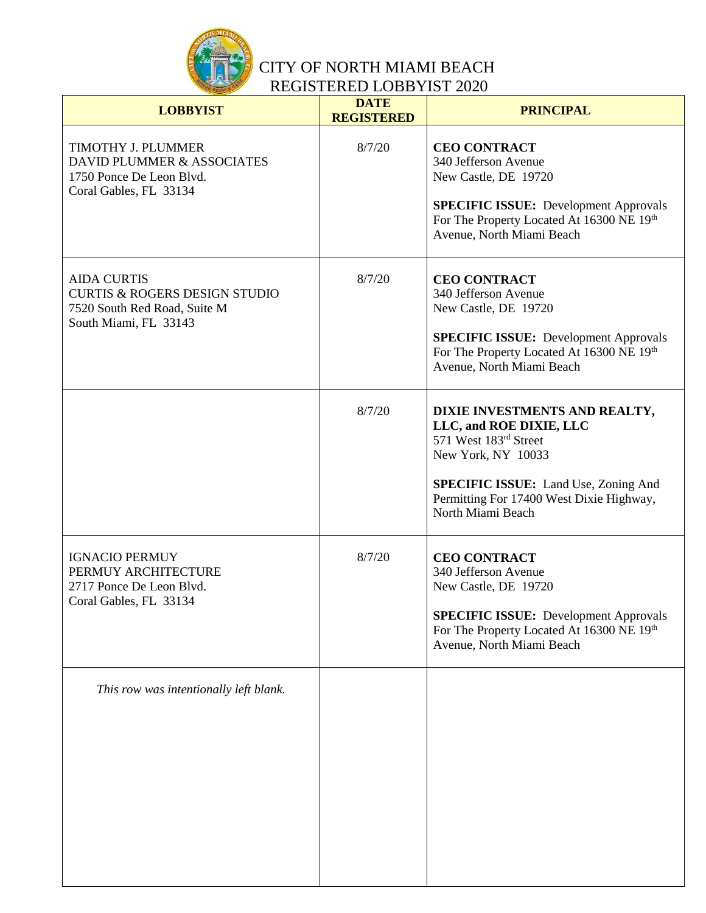

| <b>LOBBYIST</b>                                                                                                         | <b>DATE</b><br><b>REGISTERED</b> | <b>PRINCIPAL</b>                                                                                                                                                                                                        |
|-------------------------------------------------------------------------------------------------------------------------|----------------------------------|-------------------------------------------------------------------------------------------------------------------------------------------------------------------------------------------------------------------------|
| TIMOTHY J. PLUMMER<br>DAVID PLUMMER & ASSOCIATES<br>1750 Ponce De Leon Blvd.<br>Coral Gables, FL 33134                  | 8/7/20                           | <b>CEO CONTRACT</b><br>340 Jefferson Avenue<br>New Castle, DE 19720<br><b>SPECIFIC ISSUE:</b> Development Approvals<br>For The Property Located At 16300 NE 19th<br>Avenue, North Miami Beach                           |
| <b>AIDA CURTIS</b><br><b>CURTIS &amp; ROGERS DESIGN STUDIO</b><br>7520 South Red Road, Suite M<br>South Miami, FL 33143 | 8/7/20                           | <b>CEO CONTRACT</b><br>340 Jefferson Avenue<br>New Castle, DE 19720<br><b>SPECIFIC ISSUE:</b> Development Approvals<br>For The Property Located At 16300 NE 19th<br>Avenue, North Miami Beach                           |
|                                                                                                                         | 8/7/20                           | DIXIE INVESTMENTS AND REALTY,<br>LLC, and ROE DIXIE, LLC<br>571 West 183rd Street<br>New York, NY 10033<br><b>SPECIFIC ISSUE:</b> Land Use, Zoning And<br>Permitting For 17400 West Dixie Highway,<br>North Miami Beach |
| <b>IGNACIO PERMUY</b><br>PERMUY ARCHITECTURE<br>2717 Ponce De Leon Blvd.<br>Coral Gables, FL 33134                      | 8/7/20                           | <b>CEO CONTRACT</b><br>340 Jefferson Avenue<br>New Castle, DE 19720<br><b>SPECIFIC ISSUE: Development Approvals</b><br>For The Property Located At 16300 NE 19th<br>Avenue, North Miami Beach                           |
| This row was intentionally left blank.                                                                                  |                                  |                                                                                                                                                                                                                         |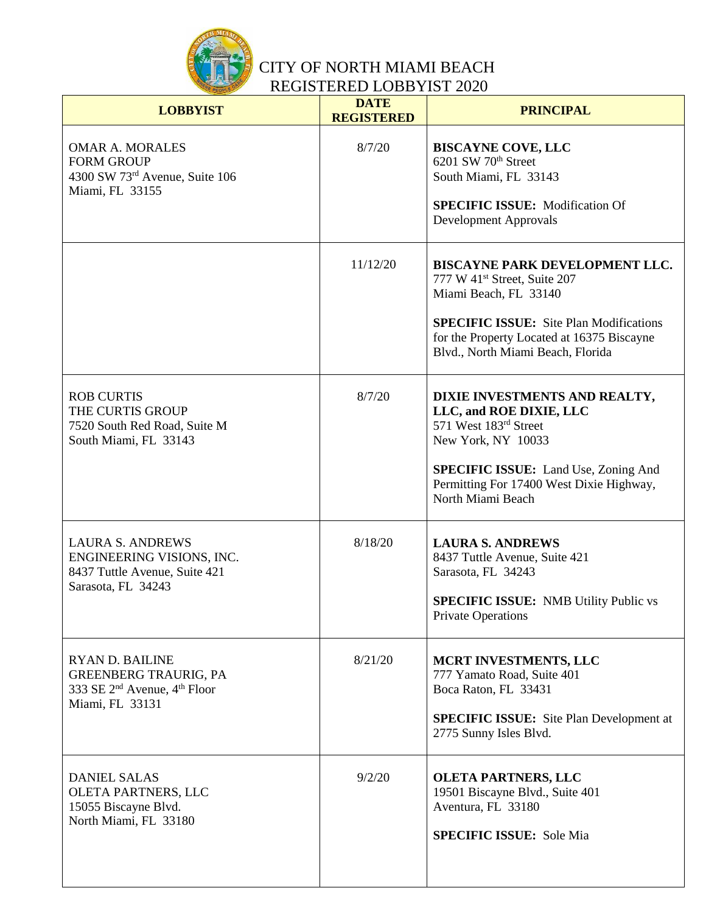

| <b>LOBBYIST</b>                                                                                                                   | <b>DATE</b><br><b>REGISTERED</b> | <b>PRINCIPAL</b>                                                                                                                                                                                                                         |
|-----------------------------------------------------------------------------------------------------------------------------------|----------------------------------|------------------------------------------------------------------------------------------------------------------------------------------------------------------------------------------------------------------------------------------|
| <b>OMAR A. MORALES</b><br><b>FORM GROUP</b><br>4300 SW 73rd Avenue, Suite 106<br>Miami, FL 33155                                  | 8/7/20                           | <b>BISCAYNE COVE, LLC</b><br>6201 SW 70 <sup>th</sup> Street<br>South Miami, FL 33143<br><b>SPECIFIC ISSUE:</b> Modification Of<br>Development Approvals                                                                                 |
|                                                                                                                                   | 11/12/20                         | BISCAYNE PARK DEVELOPMENT LLC.<br>777 W 41 <sup>st</sup> Street, Suite 207<br>Miami Beach, FL 33140<br><b>SPECIFIC ISSUE:</b> Site Plan Modifications<br>for the Property Located at 16375 Biscayne<br>Blvd., North Miami Beach, Florida |
| <b>ROB CURTIS</b><br>THE CURTIS GROUP<br>7520 South Red Road, Suite M<br>South Miami, FL 33143                                    | 8/7/20                           | DIXIE INVESTMENTS AND REALTY,<br>LLC, and ROE DIXIE, LLC<br>571 West 183rd Street<br>New York, NY 10033<br><b>SPECIFIC ISSUE:</b> Land Use, Zoning And<br>Permitting For 17400 West Dixie Highway,<br>North Miami Beach                  |
| <b>LAURA S. ANDREWS</b><br>ENGINEERING VISIONS, INC.<br>8437 Tuttle Avenue, Suite 421<br>Sarasota, FL 34243                       | 8/18/20                          | <b>LAURA S. ANDREWS</b><br>8437 Tuttle Avenue, Suite 421<br>Sarasota, FL 34243<br><b>SPECIFIC ISSUE:</b> NMB Utility Public vs<br><b>Private Operations</b>                                                                              |
| <b>RYAN D. BAILINE</b><br><b>GREENBERG TRAURIG, PA</b><br>333 SE 2 <sup>nd</sup> Avenue, 4 <sup>th</sup> Floor<br>Miami, FL 33131 | 8/21/20                          | MCRT INVESTMENTS, LLC<br>777 Yamato Road, Suite 401<br>Boca Raton, FL 33431<br><b>SPECIFIC ISSUE:</b> Site Plan Development at<br>2775 Sunny Isles Blvd.                                                                                 |
| <b>DANIEL SALAS</b><br>OLETA PARTNERS, LLC<br>15055 Biscayne Blvd.<br>North Miami, FL 33180                                       | 9/2/20                           | <b>OLETA PARTNERS, LLC</b><br>19501 Biscayne Blvd., Suite 401<br>Aventura, FL 33180<br><b>SPECIFIC ISSUE:</b> Sole Mia                                                                                                                   |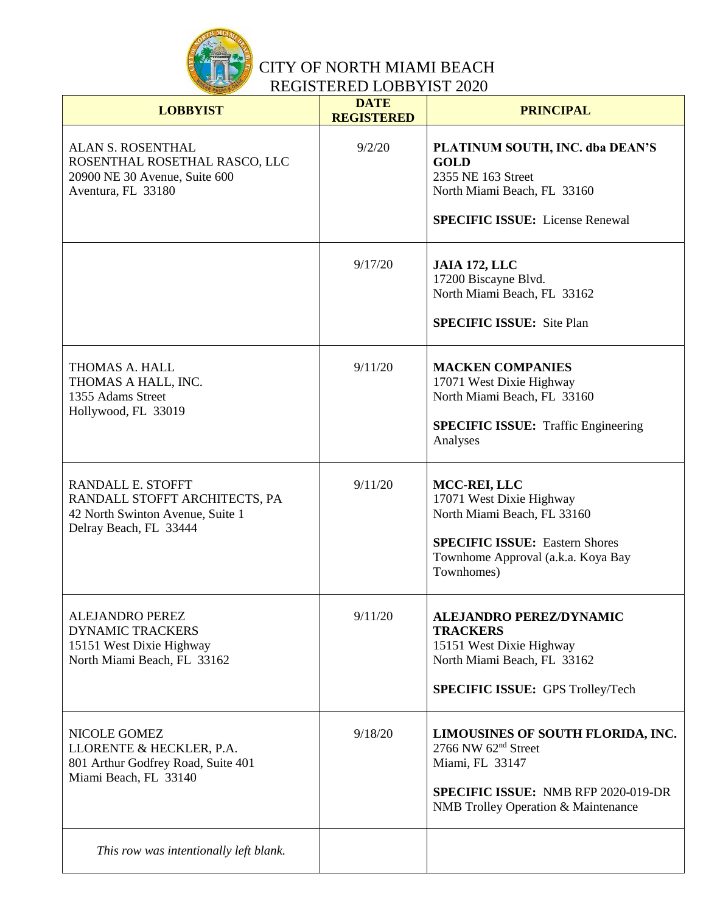

| <b>LOBBYIST</b>                                                                                                  | <b>DATE</b><br><b>REGISTERED</b> | <b>PRINCIPAL</b>                                                                                                                                                                    |
|------------------------------------------------------------------------------------------------------------------|----------------------------------|-------------------------------------------------------------------------------------------------------------------------------------------------------------------------------------|
| <b>ALAN S. ROSENTHAL</b><br>ROSENTHAL ROSETHAL RASCO, LLC<br>20900 NE 30 Avenue, Suite 600<br>Aventura, FL 33180 | 9/2/20                           | PLATINUM SOUTH, INC. dba DEAN'S<br><b>GOLD</b><br>2355 NE 163 Street<br>North Miami Beach, FL 33160<br><b>SPECIFIC ISSUE:</b> License Renewal                                       |
|                                                                                                                  | 9/17/20                          | <b>JAIA 172, LLC</b><br>17200 Biscayne Blvd.<br>North Miami Beach, FL 33162<br><b>SPECIFIC ISSUE:</b> Site Plan                                                                     |
| THOMAS A. HALL<br>THOMAS A HALL, INC.<br>1355 Adams Street<br>Hollywood, FL 33019                                | 9/11/20                          | <b>MACKEN COMPANIES</b><br>17071 West Dixie Highway<br>North Miami Beach, FL 33160<br><b>SPECIFIC ISSUE:</b> Traffic Engineering<br>Analyses                                        |
| RANDALL E. STOFFT<br>RANDALL STOFFT ARCHITECTS, PA<br>42 North Swinton Avenue, Suite 1<br>Delray Beach, FL 33444 | 9/11/20                          | MCC-REI, LLC<br>17071 West Dixie Highway<br>North Miami Beach, FL 33160<br><b>SPECIFIC ISSUE: Eastern Shores</b><br>Townhome Approval (a.k.a. Koya Bay<br>Townhomes)                |
| <b>ALEJANDRO PEREZ</b><br><b>DYNAMIC TRACKERS</b><br>15151 West Dixie Highway<br>North Miami Beach, FL 33162     | 9/11/20                          | <b>ALEJANDRO PEREZ/DYNAMIC</b><br><b>TRACKERS</b><br>15151 West Dixie Highway<br>North Miami Beach, FL 33162<br><b>SPECIFIC ISSUE: GPS Trolley/Tech</b>                             |
| NICOLE GOMEZ<br>LLORENTE & HECKLER, P.A.<br>801 Arthur Godfrey Road, Suite 401<br>Miami Beach, FL 33140          | 9/18/20                          | LIMOUSINES OF SOUTH FLORIDA, INC.<br>2766 NW 62 <sup>nd</sup> Street<br>Miami, FL 33147<br><b>SPECIFIC ISSUE: NMB RFP 2020-019-DR</b><br><b>NMB</b> Trolley Operation & Maintenance |
| This row was intentionally left blank.                                                                           |                                  |                                                                                                                                                                                     |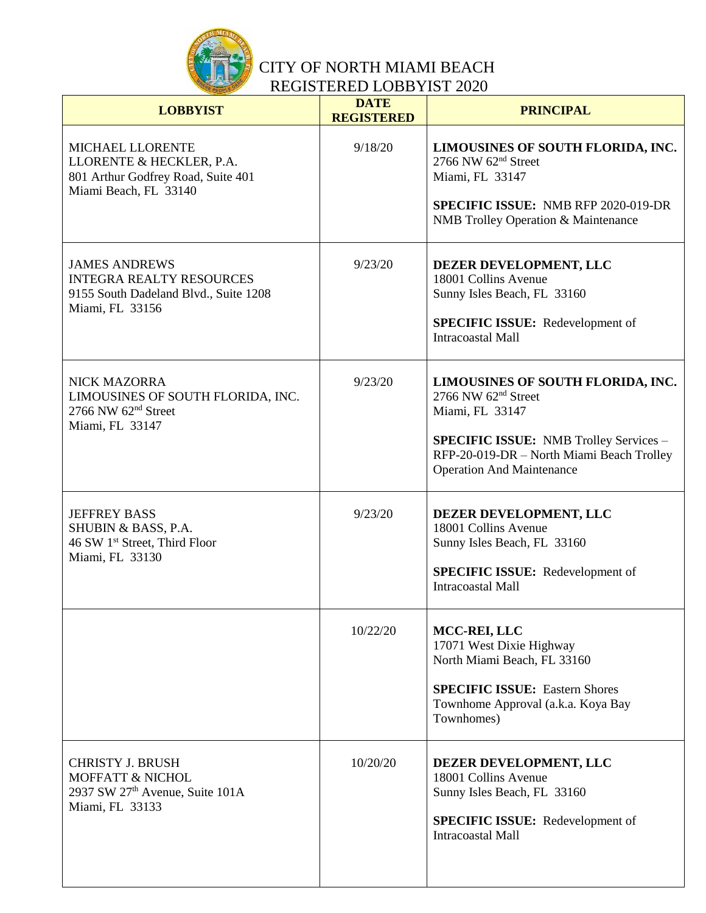

| <b>LOBBYIST</b>                                                                                                          | <b>DATE</b><br><b>REGISTERED</b> | <b>PRINCIPAL</b>                                                                                                                                                                                                |
|--------------------------------------------------------------------------------------------------------------------------|----------------------------------|-----------------------------------------------------------------------------------------------------------------------------------------------------------------------------------------------------------------|
| MICHAEL LLORENTE<br>LLORENTE & HECKLER, P.A.<br>801 Arthur Godfrey Road, Suite 401<br>Miami Beach, FL 33140              | 9/18/20                          | LIMOUSINES OF SOUTH FLORIDA, INC.<br>2766 NW 62 <sup>nd</sup> Street<br>Miami, FL 33147<br><b>SPECIFIC ISSUE: NMB RFP 2020-019-DR</b><br>NMB Trolley Operation & Maintenance                                    |
| <b>JAMES ANDREWS</b><br><b>INTEGRA REALTY RESOURCES</b><br>9155 South Dadeland Blvd., Suite 1208<br>Miami, FL 33156      | 9/23/20                          | DEZER DEVELOPMENT, LLC<br>18001 Collins Avenue<br>Sunny Isles Beach, FL 33160<br><b>SPECIFIC ISSUE:</b> Redevelopment of<br><b>Intracoastal Mall</b>                                                            |
| <b>NICK MAZORRA</b><br>LIMOUSINES OF SOUTH FLORIDA, INC.<br>2766 NW $62nd$ Street<br>Miami, FL 33147                     | 9/23/20                          | LIMOUSINES OF SOUTH FLORIDA, INC.<br>2766 NW $62nd$ Street<br>Miami, FL 33147<br><b>SPECIFIC ISSUE:</b> NMB Trolley Services -<br>RFP-20-019-DR - North Miami Beach Trolley<br><b>Operation And Maintenance</b> |
| <b>JEFFREY BASS</b><br>SHUBIN & BASS, P.A.<br>46 SW 1st Street, Third Floor<br>Miami, FL 33130                           | 9/23/20                          | DEZER DEVELOPMENT, LLC<br>18001 Collins Avenue<br>Sunny Isles Beach, FL 33160<br><b>SPECIFIC ISSUE:</b> Redevelopment of<br><b>Intracoastal Mall</b>                                                            |
|                                                                                                                          | 10/22/20                         | MCC-REI, LLC<br>17071 West Dixie Highway<br>North Miami Beach, FL 33160<br><b>SPECIFIC ISSUE: Eastern Shores</b><br>Townhome Approval (a.k.a. Koya Bay<br>Townhomes)                                            |
| <b>CHRISTY J. BRUSH</b><br><b>MOFFATT &amp; NICHOL</b><br>2937 SW 27 <sup>th</sup> Avenue, Suite 101A<br>Miami, FL 33133 | 10/20/20                         | DEZER DEVELOPMENT, LLC<br>18001 Collins Avenue<br>Sunny Isles Beach, FL 33160<br><b>SPECIFIC ISSUE:</b> Redevelopment of<br><b>Intracoastal Mall</b>                                                            |